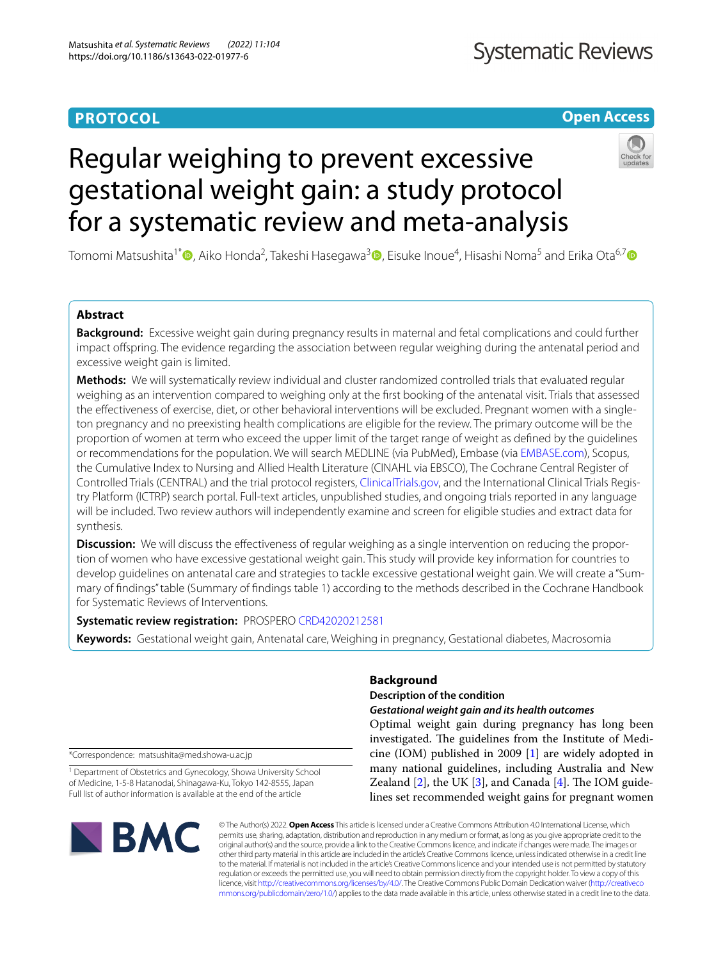# **PROTOCOL**

# **Open Access**

# Regular weighing to prevent excessive gestational weight gain: a study protocol for a systematic review and meta-analysis

Tomomi Matsushita<sup>1[\\*](http://orcid.org/0000-0001-9611-208X)</sup>®[,](http://orcid.org/0000-0003-0420-5583) Aiko Honda<sup>2</sup>, Takeshi Hasegawa<sup>3</sup>®, Eisuke Inoue<sup>4</sup>, Hisashi Noma<sup>5</sup> and Erika Ota<sup>6,7</sup>®

## **Abstract**

**Background:** Excessive weight gain during pregnancy results in maternal and fetal complications and could further impact ofspring. The evidence regarding the association between regular weighing during the antenatal period and excessive weight gain is limited.

**Methods:** We will systematically review individual and cluster randomized controlled trials that evaluated regular weighing as an intervention compared to weighing only at the frst booking of the antenatal visit. Trials that assessed the efectiveness of exercise, diet, or other behavioral interventions will be excluded. Pregnant women with a singleton pregnancy and no preexisting health complications are eligible for the review. The primary outcome will be the proportion of women at term who exceed the upper limit of the target range of weight as defned by the guidelines or recommendations for the population. We will search MEDLINE (via PubMed), Embase (via [EMBASE.com](http://embase.com)), Scopus, the Cumulative Index to Nursing and Allied Health Literature (CINAHL via EBSCO), The Cochrane Central Register of Controlled Trials (CENTRAL) and the trial protocol registers, [ClinicalTrials.gov](http://clinicaltrials.gov), and the International Clinical Trials Registry Platform (ICTRP) search portal. Full-text articles, unpublished studies, and ongoing trials reported in any language will be included. Two review authors will independently examine and screen for eligible studies and extract data for synthesis.

**Discussion:** We will discuss the effectiveness of regular weighing as a single intervention on reducing the proportion of women who have excessive gestational weight gain. This study will provide key information for countries to develop guidelines on antenatal care and strategies to tackle excessive gestational weight gain. We will create a "Summary of fndings" table (Summary of fndings table 1) according to the methods described in the Cochrane Handbook for Systematic Reviews of Interventions.

**Systematic review registration:** PROSPERO [CRD42020212581](https://www.crd.york.ac.uk/prospero/display_record.php?ID=CRD42020212581)

**Keywords:** Gestational weight gain, Antenatal care, Weighing in pregnancy, Gestational diabetes, Macrosomia

\*Correspondence: matsushita@med.showa-u.ac.jp

<sup>1</sup> Department of Obstetrics and Gynecology, Showa University School of Medicine, 1-5-8 Hatanodai, Shinagawa-Ku, Tokyo 142-8555, Japan Full list of author information is available at the end of the article



# **Background**

# **Description of the condition**

### *Gestational weight gain and its health outcomes*

Optimal weight gain during pregnancy has long been investigated. The guidelines from the Institute of Medicine (IOM) published in 2009 [\[1](#page-5-0)] are widely adopted in many national guidelines, including Australia and New Zealand  $[2]$  $[2]$ , the UK  $[3]$  $[3]$ , and Canada  $[4]$ . The IOM guidelines set recommended weight gains for pregnant women

© The Author(s) 2022. **Open Access** This article is licensed under a Creative Commons Attribution 4.0 International License, which permits use, sharing, adaptation, distribution and reproduction in any medium or format, as long as you give appropriate credit to the original author(s) and the source, provide a link to the Creative Commons licence, and indicate if changes were made. The images or other third party material in this article are included in the article's Creative Commons licence, unless indicated otherwise in a credit line to the material. If material is not included in the article's Creative Commons licence and your intended use is not permitted by statutory regulation or exceeds the permitted use, you will need to obtain permission directly from the copyright holder. To view a copy of this licence, visit [http://creativecommons.org/licenses/by/4.0/.](http://creativecommons.org/licenses/by/4.0/) The Creative Commons Public Domain Dedication waiver ([http://creativeco](http://creativecommons.org/publicdomain/zero/1.0/) [mmons.org/publicdomain/zero/1.0/](http://creativecommons.org/publicdomain/zero/1.0/)) applies to the data made available in this article, unless otherwise stated in a credit line to the data.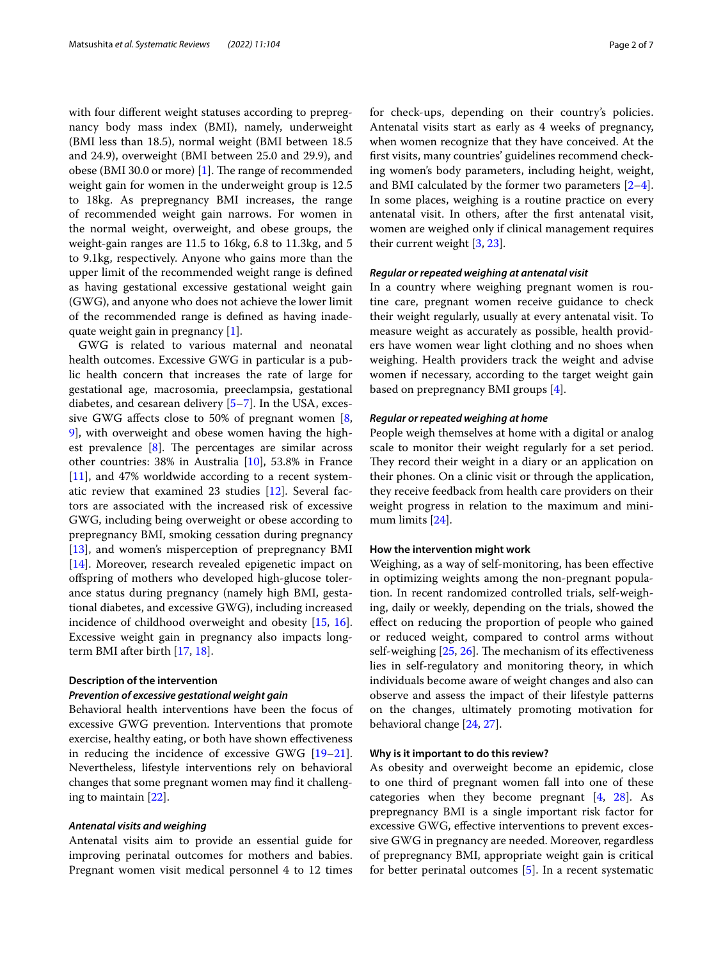with four diferent weight statuses according to prepregnancy body mass index (BMI), namely, underweight (BMI less than 18.5), normal weight (BMI between 18.5 and 24.9), overweight (BMI between 25.0 and 29.9), and obese (BMI 30.0 or more) [\[1\]](#page-5-0). The range of recommended weight gain for women in the underweight group is 12.5 to 18kg. As prepregnancy BMI increases, the range of recommended weight gain narrows. For women in the normal weight, overweight, and obese groups, the weight-gain ranges are 11.5 to 16kg, 6.8 to 11.3kg, and 5 to 9.1kg, respectively. Anyone who gains more than the upper limit of the recommended weight range is defned as having gestational excessive gestational weight gain (GWG), and anyone who does not achieve the lower limit of the recommended range is defned as having inadequate weight gain in pregnancy [[1](#page-5-0)].

GWG is related to various maternal and neonatal health outcomes. Excessive GWG in particular is a public health concern that increases the rate of large for gestational age, macrosomia, preeclampsia, gestational diabetes, and cesarean delivery [[5](#page-5-4)[–7](#page-5-5)]. In the USA, excessive GWG afects close to 50% of pregnant women [\[8](#page-5-6), [9\]](#page-5-7), with overweight and obese women having the highest prevalence  $[8]$  $[8]$ . The percentages are similar across other countries: 38% in Australia [\[10\]](#page-5-8), 53.8% in France [[11\]](#page-5-9), and 47% worldwide according to a recent systematic review that examined 23 studies [[12\]](#page-5-10). Several factors are associated with the increased risk of excessive GWG, including being overweight or obese according to prepregnancy BMI, smoking cessation during pregnancy [[13\]](#page-5-11), and women's misperception of prepregnancy BMI [[14\]](#page-5-12). Moreover, research revealed epigenetic impact on ofspring of mothers who developed high-glucose tolerance status during pregnancy (namely high BMI, gestational diabetes, and excessive GWG), including increased incidence of childhood overweight and obesity [[15,](#page-5-13) [16](#page-6-0)]. Excessive weight gain in pregnancy also impacts longterm BMI after birth [\[17](#page-6-1), [18\]](#page-6-2).

#### **Description of the intervention**

#### *Prevention of excessive gestational weight gain*

Behavioral health interventions have been the focus of excessive GWG prevention. Interventions that promote exercise, healthy eating, or both have shown efectiveness in reducing the incidence of excessive GWG [[19](#page-6-3)[–21](#page-6-4)]. Nevertheless, lifestyle interventions rely on behavioral changes that some pregnant women may fnd it challenging to maintain [\[22](#page-6-5)].

#### *Antenatal visits and weighing*

Antenatal visits aim to provide an essential guide for improving perinatal outcomes for mothers and babies. Pregnant women visit medical personnel 4 to 12 times for check-ups, depending on their country's policies. Antenatal visits start as early as 4 weeks of pregnancy, when women recognize that they have conceived. At the frst visits, many countries' guidelines recommend checking women's body parameters, including height, weight, and BMI calculated by the former two parameters [\[2](#page-5-1)[–4](#page-5-3)]. In some places, weighing is a routine practice on every antenatal visit. In others, after the frst antenatal visit, women are weighed only if clinical management requires their current weight [\[3,](#page-5-2) [23](#page-6-6)].

#### *Regular or repeated weighing at antenatal visit*

In a country where weighing pregnant women is routine care, pregnant women receive guidance to check their weight regularly, usually at every antenatal visit. To measure weight as accurately as possible, health providers have women wear light clothing and no shoes when weighing. Health providers track the weight and advise women if necessary, according to the target weight gain based on prepregnancy BMI groups [\[4](#page-5-3)].

#### *Regular or repeated weighing at home*

People weigh themselves at home with a digital or analog scale to monitor their weight regularly for a set period. They record their weight in a diary or an application on their phones. On a clinic visit or through the application, they receive feedback from health care providers on their weight progress in relation to the maximum and minimum limits [\[24](#page-6-7)].

#### **How the intervention might work**

Weighing, as a way of self-monitoring, has been efective in optimizing weights among the non-pregnant population. In recent randomized controlled trials, self-weighing, daily or weekly, depending on the trials, showed the efect on reducing the proportion of people who gained or reduced weight, compared to control arms without self-weighing  $[25, 26]$  $[25, 26]$  $[25, 26]$  $[25, 26]$ . The mechanism of its effectiveness lies in self-regulatory and monitoring theory, in which individuals become aware of weight changes and also can observe and assess the impact of their lifestyle patterns on the changes, ultimately promoting motivation for behavioral change [[24,](#page-6-7) [27](#page-6-10)].

#### **Why is it important to do this review?**

As obesity and overweight become an epidemic, close to one third of pregnant women fall into one of these categories when they become pregnant [[4,](#page-5-3) [28\]](#page-6-11). As prepregnancy BMI is a single important risk factor for excessive GWG, efective interventions to prevent excessive GWG in pregnancy are needed. Moreover, regardless of prepregnancy BMI, appropriate weight gain is critical for better perinatal outcomes [\[5](#page-5-4)]. In a recent systematic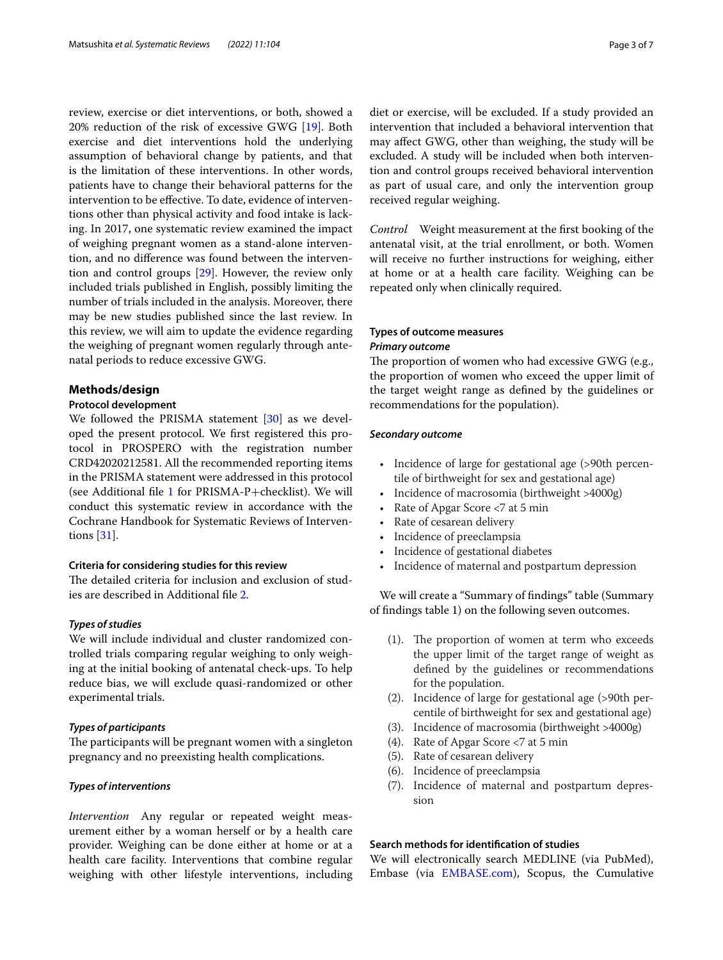review, exercise or diet interventions, or both, showed a 20% reduction of the risk of excessive GWG [[19\]](#page-6-3). Both exercise and diet interventions hold the underlying assumption of behavioral change by patients, and that is the limitation of these interventions. In other words, patients have to change their behavioral patterns for the intervention to be efective. To date, evidence of interventions other than physical activity and food intake is lacking. In 2017, one systematic review examined the impact of weighing pregnant women as a stand-alone intervention, and no diference was found between the intervention and control groups [\[29\]](#page-6-12). However, the review only included trials published in English, possibly limiting the number of trials included in the analysis. Moreover, there may be new studies published since the last review. In this review, we will aim to update the evidence regarding the weighing of pregnant women regularly through antenatal periods to reduce excessive GWG.

#### **Methods/design**

#### **Protocol development**

We followed the PRISMA statement [[30\]](#page-6-13) as we developed the present protocol. We frst registered this protocol in PROSPERO with the registration number CRD42020212581. All the recommended reporting items in the PRISMA statement were addressed in this protocol (see Additional fl[e 1](#page-5-14) for PRISMA-P+checklist). We will conduct this systematic review in accordance with the Cochrane Handbook for Systematic Reviews of Interventions [\[31](#page-6-14)].

#### **Criteria for considering studies for this review**

The detailed criteria for inclusion and exclusion of studies are described in Additional fle [2.](#page-5-15)

#### *Types of studies*

We will include individual and cluster randomized controlled trials comparing regular weighing to only weighing at the initial booking of antenatal check-ups. To help reduce bias, we will exclude quasi-randomized or other experimental trials.

#### *Types of participants*

The participants will be pregnant women with a singleton pregnancy and no preexisting health complications.

#### *Types of interventions*

*Intervention* Any regular or repeated weight measurement either by a woman herself or by a health care provider. Weighing can be done either at home or at a health care facility. Interventions that combine regular weighing with other lifestyle interventions, including

diet or exercise, will be excluded. If a study provided an intervention that included a behavioral intervention that may afect GWG, other than weighing, the study will be excluded. A study will be included when both intervention and control groups received behavioral intervention as part of usual care, and only the intervention group received regular weighing.

*Control* Weight measurement at the frst booking of the antenatal visit, at the trial enrollment, or both. Women will receive no further instructions for weighing, either at home or at a health care facility. Weighing can be repeated only when clinically required.

#### **Types of outcome measures**

#### *Primary outcome*

The proportion of women who had excessive GWG (e.g., the proportion of women who exceed the upper limit of the target weight range as defned by the guidelines or recommendations for the population).

#### *Secondary outcome*

- Incidence of large for gestational age (>90th percentile of birthweight for sex and gestational age)
- Incidence of macrosomia (birthweight >4000g)
- Rate of Apgar Score <7 at 5 min
- Rate of cesarean delivery
- Incidence of preeclampsia
- Incidence of gestational diabetes
- Incidence of maternal and postpartum depression

We will create a "Summary of fndings" table (Summary of fndings table 1) on the following seven outcomes.

- $(1)$ . The proportion of women at term who exceeds the upper limit of the target range of weight as defned by the guidelines or recommendations for the population.
- (2). Incidence of large for gestational age (>90th percentile of birthweight for sex and gestational age)
- (3). Incidence of macrosomia (birthweight >4000g)
- (4). Rate of Apgar Score <7 at 5 min
- (5). Rate of cesarean delivery
- (6). Incidence of preeclampsia
- (7). Incidence of maternal and postpartum depression

#### **Search methods for identifcation of studies**

We will electronically search MEDLINE (via PubMed), Embase (via [EMBASE.com\)](http://embase.com), Scopus, the Cumulative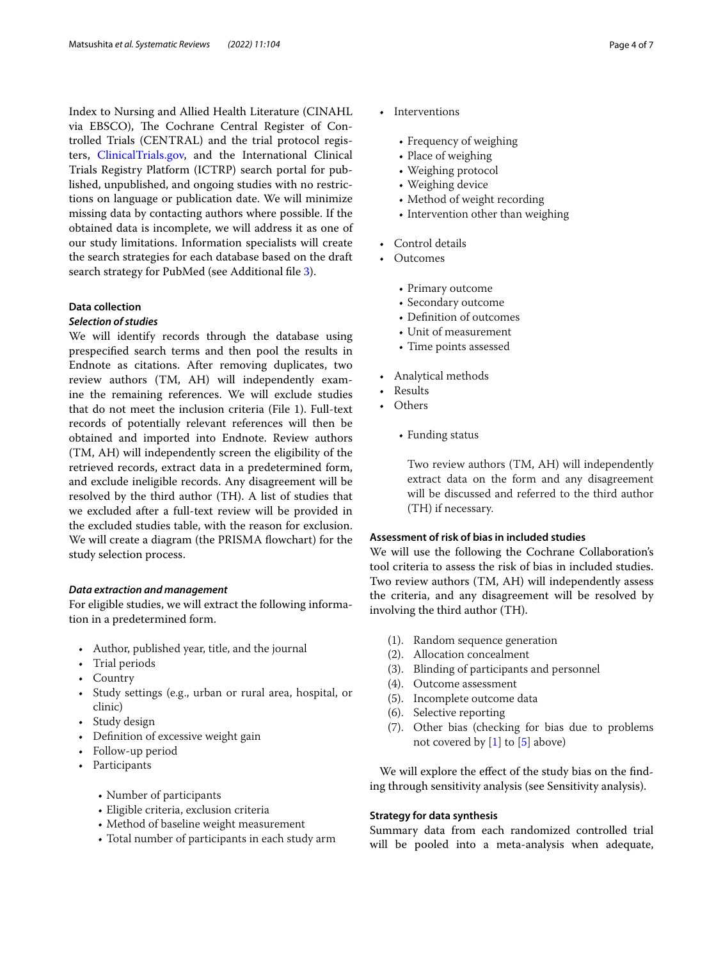Index to Nursing and Allied Health Literature (CINAHL via EBSCO), The Cochrane Central Register of Controlled Trials (CENTRAL) and the trial protocol registers, [ClinicalTrials.gov,](http://clinicaltrials.gov) and the International Clinical Trials Registry Platform (ICTRP) search portal for published, unpublished, and ongoing studies with no restrictions on language or publication date. We will minimize missing data by contacting authors where possible. If the obtained data is incomplete, we will address it as one of our study limitations. Information specialists will create the search strategies for each database based on the draft search strategy for PubMed (see Additional file [3](#page-5-16)).

#### **Data collection**

#### *Selection of studies*

We will identify records through the database using prespecifed search terms and then pool the results in Endnote as citations. After removing duplicates, two review authors (TM, AH) will independently examine the remaining references. We will exclude studies that do not meet the inclusion criteria (File 1). Full-text records of potentially relevant references will then be obtained and imported into Endnote. Review authors (TM, AH) will independently screen the eligibility of the retrieved records, extract data in a predetermined form, and exclude ineligible records. Any disagreement will be resolved by the third author (TH). A list of studies that we excluded after a full-text review will be provided in the excluded studies table, with the reason for exclusion. We will create a diagram (the PRISMA flowchart) for the study selection process.

#### *Data extraction and management*

For eligible studies, we will extract the following information in a predetermined form.

- Author, published year, title, and the journal
- Trial periods
- Country
- Study settings (e.g., urban or rural area, hospital, or clinic)
- Study design
- Definition of excessive weight gain
- Follow-up period
- Participants
	- Number of participants
	- Eligible criteria, exclusion criteria
	- Method of baseline weight measurement
	- Total number of participants in each study arm
- Interventions
	- Frequency of weighing
	- Place of weighing
	- Weighing protocol
	- Weighing device
	- Method of weight recording
	- Intervention other than weighing
- Control details
- Outcomes
	- Primary outcome
	- Secondary outcome
	- Defnition of outcomes
	- Unit of measurement
	- Time points assessed
- Analytical methods
- Results
- Others
	- Funding status

Two review authors (TM, AH) will independently extract data on the form and any disagreement will be discussed and referred to the third author (TH) if necessary.

#### **Assessment of risk of bias in included studies**

We will use the following the Cochrane Collaboration's tool criteria to assess the risk of bias in included studies. Two review authors (TM, AH) will independently assess the criteria, and any disagreement will be resolved by involving the third author (TH).

- (1). Random sequence generation
- (2). Allocation concealment
- (3). Blinding of participants and personnel
- (4). Outcome assessment
- (5). Incomplete outcome data
- (6). Selective reporting
- (7). Other bias (checking for bias due to problems not covered by [[1](#page-5-0)] to [[5](#page-5-4)] above)

We will explore the effect of the study bias on the finding through sensitivity analysis (see Sensitivity analysis).

#### **Strategy for data synthesis**

Summary data from each randomized controlled trial will be pooled into a meta-analysis when adequate,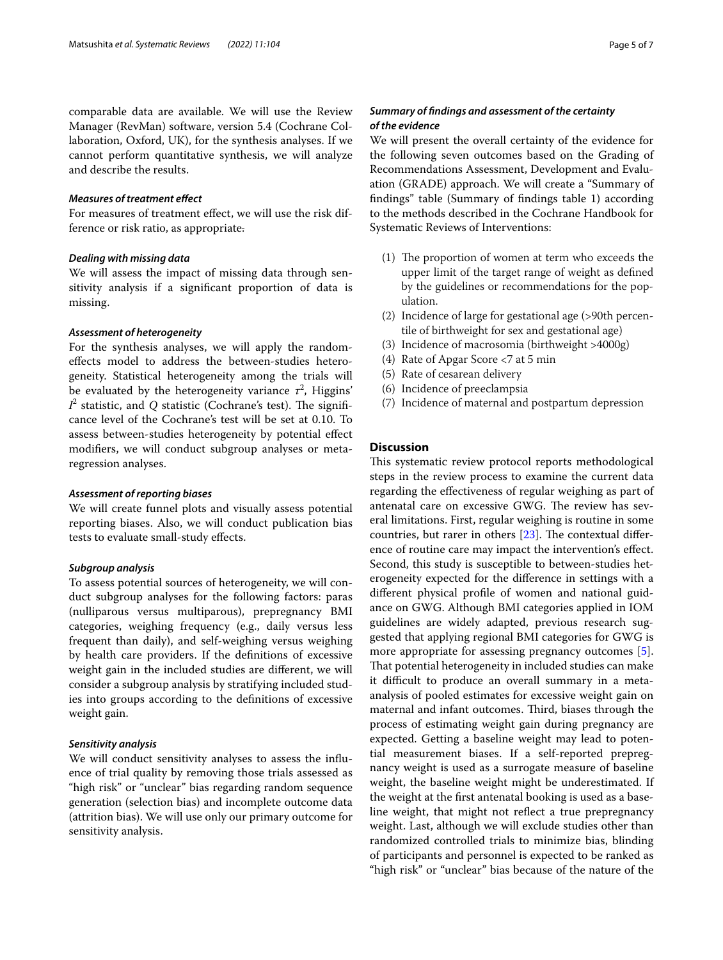comparable data are available. We will use the Review Manager (RevMan) software, version 5.4 (Cochrane Collaboration, Oxford, UK), for the synthesis analyses. If we cannot perform quantitative synthesis, we will analyze and describe the results.

#### *Measures of treatment efect*

For measures of treatment effect, we will use the risk difference or risk ratio, as appropriate.

#### *Dealing with missing data*

We will assess the impact of missing data through sensitivity analysis if a signifcant proportion of data is missing.

#### *Assessment of heterogeneity*

For the synthesis analyses, we will apply the randomefects model to address the between-studies heterogeneity. Statistical heterogeneity among the trials will be evaluated by the heterogeneity variance  $\tau^2$ , Higgins'  $I^2$  statistic, and  $Q$  statistic (Cochrane's test). The significance level of the Cochrane's test will be set at 0.10. To assess between-studies heterogeneity by potential efect modifers, we will conduct subgroup analyses or metaregression analyses.

#### *Assessment of reporting biases*

We will create funnel plots and visually assess potential reporting biases. Also, we will conduct publication bias tests to evaluate small-study efects.

#### *Subgroup analysis*

To assess potential sources of heterogeneity, we will conduct subgroup analyses for the following factors: paras (nulliparous versus multiparous), prepregnancy BMI categories, weighing frequency (e.g., daily versus less frequent than daily), and self-weighing versus weighing by health care providers. If the defnitions of excessive weight gain in the included studies are diferent, we will consider a subgroup analysis by stratifying included studies into groups according to the defnitions of excessive weight gain.

#### *Sensitivity analysis*

We will conduct sensitivity analyses to assess the infuence of trial quality by removing those trials assessed as "high risk" or "unclear" bias regarding random sequence generation (selection bias) and incomplete outcome data (attrition bias). We will use only our primary outcome for sensitivity analysis.

### *Summary of fndings and assessment of the certainty of the evidence*

We will present the overall certainty of the evidence for the following seven outcomes based on the Grading of Recommendations Assessment, Development and Evaluation (GRADE) approach. We will create a "Summary of fndings" table (Summary of fndings table 1) according to the methods described in the Cochrane Handbook for Systematic Reviews of Interventions:

- $(1)$  The proportion of women at term who exceeds the upper limit of the target range of weight as defned by the guidelines or recommendations for the population.
- (2) Incidence of large for gestational age (>90th percentile of birthweight for sex and gestational age)
- (3) Incidence of macrosomia (birthweight >4000g)
- (4) Rate of Apgar Score <7 at 5 min
- (5) Rate of cesarean delivery
- (6) Incidence of preeclampsia
- (7) Incidence of maternal and postpartum depression

#### **Discussion**

This systematic review protocol reports methodological steps in the review process to examine the current data regarding the efectiveness of regular weighing as part of antenatal care on excessive GWG. The review has several limitations. First, regular weighing is routine in some countries, but rarer in others  $[23]$  $[23]$ . The contextual difference of routine care may impact the intervention's efect. Second, this study is susceptible to between-studies heterogeneity expected for the diference in settings with a diferent physical profle of women and national guidance on GWG. Although BMI categories applied in IOM guidelines are widely adapted, previous research suggested that applying regional BMI categories for GWG is more appropriate for assessing pregnancy outcomes [\[5](#page-5-4)]. That potential heterogeneity in included studies can make it difficult to produce an overall summary in a metaanalysis of pooled estimates for excessive weight gain on maternal and infant outcomes. Third, biases through the process of estimating weight gain during pregnancy are expected. Getting a baseline weight may lead to potential measurement biases. If a self-reported prepregnancy weight is used as a surrogate measure of baseline weight, the baseline weight might be underestimated. If the weight at the frst antenatal booking is used as a baseline weight, that might not refect a true prepregnancy weight. Last, although we will exclude studies other than randomized controlled trials to minimize bias, blinding of participants and personnel is expected to be ranked as "high risk" or "unclear" bias because of the nature of the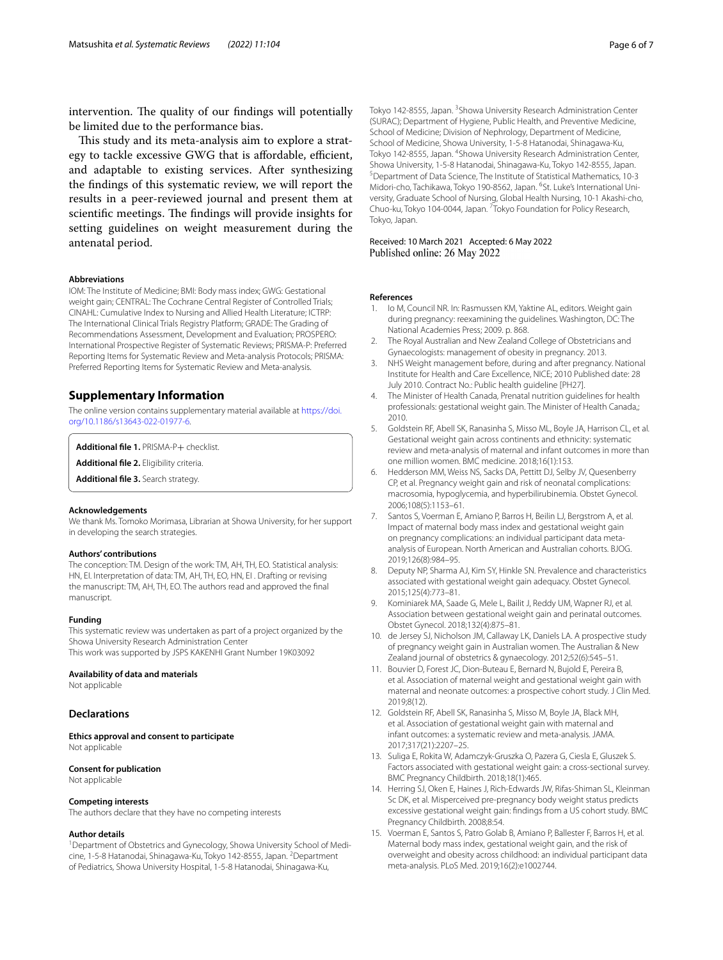intervention. The quality of our findings will potentially be limited due to the performance bias.

This study and its meta-analysis aim to explore a strategy to tackle excessive GWG that is affordable, efficient, and adaptable to existing services. After synthesizing the fndings of this systematic review, we will report the results in a peer-reviewed journal and present them at scientific meetings. The findings will provide insights for setting guidelines on weight measurement during the antenatal period.

#### **Abbreviations**

IOM: The Institute of Medicine; BMI: Body mass index; GWG: Gestational weight gain; CENTRAL: The Cochrane Central Register of Controlled Trials; CINAHL: Cumulative Index to Nursing and Allied Health Literature; ICTRP: The International Clinical Trials Registry Platform; GRADE: The Grading of Recommendations Assessment, Development and Evaluation; PROSPERO: International Prospective Register of Systematic Reviews; PRISMA-P: Preferred Reporting Items for Systematic Review and Meta-analysis Protocols; PRISMA: Preferred Reporting Items for Systematic Review and Meta-analysis.

#### **Supplementary Information**

The online version contains supplementary material available at [https://doi.](https://doi.org/10.1186/s13643-022-01977-6) [org/10.1186/s13643-022-01977-6](https://doi.org/10.1186/s13643-022-01977-6).

<span id="page-5-14"></span>**Additional fle 1.** PRISMA-P+ checklist.

<span id="page-5-16"></span>**Additional fle 2.** Eligibility criteria.

**Additional fle 3.** Search strategy.

#### **Acknowledgements**

We thank Ms. Tomoko Morimasa, Librarian at Showa University, for her support in developing the search strategies.

#### **Authors' contributions**

The conception: TM. Design of the work: TM, AH, TH, EO. Statistical analysis: HN, EI. Interpretation of data: TM, AH, TH, EO, HN, EI . Drafting or revising the manuscript: TM, AH, TH, EO. The authors read and approved the fnal manuscript.

#### **Funding**

This systematic review was undertaken as part of a project organized by the Showa University Research Administration Center This work was supported by JSPS KAKENHI Grant Number 19K03092

#### **Availability of data and materials**

Not applicable

#### **Declarations**

**Ethics approval and consent to participate** Not applicable

#### **Consent for publication**

Not applicable

#### **Competing interests**

The authors declare that they have no competing interests

#### **Author details**

<sup>1</sup> Department of Obstetrics and Gynecology, Showa University School of Medicine, 1-5-8 Hatanodai, Shinagawa-Ku, Tokyo 142-8555, Japan. <sup>2</sup>Department of Pediatrics, Showa University Hospital, 1-5-8 Hatanodai, Shinagawa-Ku,

Tokyo 142-8555, Japan. <sup>3</sup> Showa University Research Administration Center (SURAC); Department of Hygiene, Public Health, and Preventive Medicine, School of Medicine; Division of Nephrology, Department of Medicine, School of Medicine, Showa University, 1-5-8 Hatanodai, Shinagawa-Ku, Tokyo 142-8555, Japan. <sup>4</sup>Showa University Research Administration Center, Showa University, 1-5-8 Hatanodai, Shinagawa-Ku, Tokyo 142-8555, Japan. 5 Department of Data Science, The Institute of Statistical Mathematics, 10-3 Midori-cho, Tachikawa, Tokyo 190-8562, Japan. <sup>6</sup>St. Luke's International University, Graduate School of Nursing, Global Health Nursing, 10-1 Akashi-cho, Chuo-ku, Tokyo 104-0044, Japan. <sup>7</sup> Tokyo Foundation for Policy Research, Tokyo, Japan.

Received: 10 March 2021 Accepted: 6 May 2022<br>Published online: 26 May 2022

#### **References**

- <span id="page-5-0"></span>1. Io M, Council NR. In: Rasmussen KM, Yaktine AL, editors. Weight gain during pregnancy: reexamining the guidelines. Washington, DC: The National Academies Press; 2009. p. 868.
- <span id="page-5-1"></span>2. The Royal Australian and New Zealand College of Obstetricians and Gynaecologists: management of obesity in pregnancy. 2013.
- <span id="page-5-2"></span>3. NHS Weight management before, during and after pregnancy. National Institute for Health and Care Excellence, NICE; 2010 Published date: 28 July 2010. Contract No.: Public health guideline [PH27].
- <span id="page-5-3"></span>4. The Minister of Health Canada, Prenatal nutrition guidelines for health professionals: gestational weight gain. The Minister of Health Canada,; 2010.
- <span id="page-5-15"></span><span id="page-5-4"></span>5. Goldstein RF, Abell SK, Ranasinha S, Misso ML, Boyle JA, Harrison CL, et al. Gestational weight gain across continents and ethnicity: systematic review and meta-analysis of maternal and infant outcomes in more than one million women. BMC medicine. 2018;16(1):153.
- 6. Hedderson MM, Weiss NS, Sacks DA, Pettitt DJ, Selby JV, Quesenberry CP, et al. Pregnancy weight gain and risk of neonatal complications: macrosomia, hypoglycemia, and hyperbilirubinemia. Obstet Gynecol. 2006;108(5):1153–61.
- <span id="page-5-5"></span>7. Santos S, Voerman E, Amiano P, Barros H, Beilin LJ, Bergstrom A, et al. Impact of maternal body mass index and gestational weight gain on pregnancy complications: an individual participant data metaanalysis of European. North American and Australian cohorts. BJOG. 2019;126(8):984–95.
- <span id="page-5-6"></span>8. Deputy NP, Sharma AJ, Kim SY, Hinkle SN. Prevalence and characteristics associated with gestational weight gain adequacy. Obstet Gynecol. 2015;125(4):773–81.
- <span id="page-5-7"></span>9. Kominiarek MA, Saade G, Mele L, Bailit J, Reddy UM, Wapner RJ, et al. Association between gestational weight gain and perinatal outcomes. Obstet Gynecol. 2018;132(4):875–81.
- <span id="page-5-8"></span>10. de Jersey SJ, Nicholson JM, Callaway LK, Daniels LA. A prospective study of pregnancy weight gain in Australian women. The Australian & New Zealand journal of obstetrics & gynaecology. 2012;52(6):545–51.
- <span id="page-5-9"></span>11. Bouvier D, Forest JC, Dion-Buteau E, Bernard N, Bujold E, Pereira B, et al. Association of maternal weight and gestational weight gain with maternal and neonate outcomes: a prospective cohort study. J Clin Med. 2019;8(12).
- <span id="page-5-10"></span>12. Goldstein RF, Abell SK, Ranasinha S, Misso M, Boyle JA, Black MH, et al. Association of gestational weight gain with maternal and infant outcomes: a systematic review and meta-analysis. JAMA. 2017;317(21):2207–25.
- <span id="page-5-11"></span>13. Suliga E, Rokita W, Adamczyk-Gruszka O, Pazera G, Ciesla E, Gluszek S. Factors associated with gestational weight gain: a cross-sectional survey. BMC Pregnancy Childbirth. 2018;18(1):465.
- <span id="page-5-12"></span>14. Herring SJ, Oken E, Haines J, Rich-Edwards JW, Rifas-Shiman SL, Kleinman Sc DK, et al. Misperceived pre-pregnancy body weight status predicts excessive gestational weight gain: fndings from a US cohort study. BMC Pregnancy Childbirth. 2008;8:54.
- <span id="page-5-13"></span>15. Voerman E, Santos S, Patro Golab B, Amiano P, Ballester F, Barros H, et al. Maternal body mass index, gestational weight gain, and the risk of overweight and obesity across childhood: an individual participant data meta-analysis. PLoS Med. 2019;16(2):e1002744.